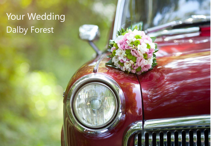# Dalby Forest Your Wedding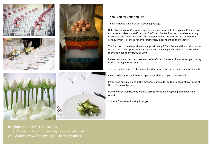







Thank you for your enquiry.

I have included details of our wedding package.

Dalby Forest Visitor Centre is very much a small, informal "do it yourself" venue. We can accommodate up to 60 people. The Visitor Centre function room has amazing views over the forest and access to an upper and an outdoor terrace with partial canopy which is licenced for civil ceremonies, dependant on the weather.

The function room dimensions are approximately 7.5m x 14m and the outdoor upper terrace measures approximately 7.4m x 25m. Evening events (within the Function room) do need to conclude by 9pm.

Please be aware that the other areas of the Visitor Centre will always be open during normal during business hours.

The hire includes use of the venue the day before, the big day and the morning after.

Please do let us know if there is a particular date that you have in mind.

If you have any questions in the meantime or would like to arrange a show round of then please contact us.

Due to current restrictions, we are currently only allowing two people per show round.

We look forward to hearing from you.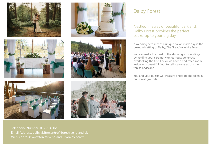









## Dalby Forest

Nestled in acres of beautiful parkland, Dalby Forest provides the perfect backdrop to your big day.

A wedding here means a unique, tailor-made day in the beautiful setting of Dalby, The Great Yorkshire Forest.

You can make the most of the stunning surroundings by holding your ceremony on our outside terrace overlooking the tree-line or we have a dedicated room inside with beautiful floor to ceiling views across the forest landscape.

You and your guests will treasure photographs taken in our forest grounds.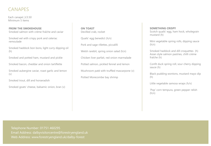## CANAPES

Each canapé | £3.50 Minimum 5 items

**FROM THE SMOKEHOUSE** Smoked salmon with crème fraîche and caviar

Smoked eel with crispy pork and celeriac remoulade

Smoked haddock bon bons, light curry dipping oil (h)

Smoked and potted ham, mustard and pickle

Smoked bacon, cheddar and onion tartiflette

Smoked aubergine caviar, roast garlic and lemon (v)

Smoked trout, dill and horseradish

Smoked goats' cheese, balsamic onion, bran (v)

**ON TOAST** Devilled crab, rocket

Quails' egg benedict (h/v)

Pork and sage rillettes, piccalilli

Welsh rarebit, spring onion salad (h/v)

Chicken liver parfait, red onion marmalade

Potted salmon, pickled fennel and lemon

Mushroom paté with truffled mascarpone (v)

Potted Morecombe bay shrimp

#### **SOMETHING CRISPY**

Scotch quails' egg, ham hock, wholegrain mustard (h)

Mini vegetable spring rolls, dipping sauce  $(h/v)$ 

Smoked haddock and dill croquettes (h) Asian style salmon pastries, chilli crème fraîche (h)

Confit duck spring roll, sour cherry dipping sauce (h)

Black pudding wontons, mustard mayo dip (h)

Little vegetable samosa wraps (h/v)

'Pop' corn tempura, green pepper relish  $(h/v)$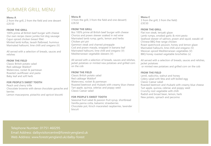## SUMMER GRILL MENU

#### **Menu A**

2 from the grill, 2 from the field and one dessert £20.50

#### **FROM THE GRILL**

100% prime all British beef burger with cheese Our own recipe classic jumbo hot dog sausage Cajun spiced chicken breast fillet Minted lamb koftas, lavash flatbread, hummus Marinated halloumi, lime chilli and oregano (V)

All served with a selection of breads, sauces and relishes

#### **FROM THE FIELD**

Classic British potato salad Red cabbage Waldorf Watercress, rocket & parmesan Roasted cauliflower and pasta Baby leaf and soft herb

#### **FOR PEOPLE'S SWEET TOOTH**

Peach and cherry trifle Chocolate brownie with dense chocolate ganache and berries Lemon mascarpone, pistachio and apricot biscotti

#### **Menu B**

3 from the grill, 3 from the field and one dessert) £28.50

#### **FROM THE GRILL**

8oz 100% prime all British beef burger with cheese Chorizo and prawn skewer soaked in red wine Marinated lamb rump, garlic, lemon and herbs Chicken piri piri

Gammon steak and charred pineapple Cod and prawn masala, wrapped in banana leaf Marinated halloumi, lime chilli and oregano (V) Mediterranean vegetable skewers (V)

All served with a selection of breads, sauces and relishes, jacket potatoes or minted new potatoes and grilled corn on the cob

#### **FROM THE FIELD**

Classic British potato salad Red cabbage Waldorf Watercress, rocket & parmesan Roasted beetroot and rhubarb with creamy blue cheese Tart apple, quinoa, celeriac and poppy seed Classic Caesar salad

#### **FOR PEOPLE'S SWEET TOOTH**

Seasonal fruit salad & passion fruit syrup, shortbread Vanilla panna cotta, balsamic strawberries Chocolate pot, Kirsch macerated raspberries, lavender biscuit

**Menu C**  3 from the grill, 3 from the field) £30.50

#### **FROM THE GRILL**

Flat iron steak, teriyaki glaze Lamb rumps, smoked garlic & mint pesto Seafood skewer of salmon, prawn and squid, wasabi oil Chinese BBQ free range chicken Roast spatchcock poussin, honey and lemon glaze Marinated halloumi, lime chilli and oregano (V) Mexican spiced Mediterranean vegetables (V) BBQ honey roasted vegetable brochettes (v)

All served with a selection of breads, sauces and relishes, jacket potatoes or minted new potatoes and grilled corn on the cob

#### **FROM THE FIELD**

Lentil, radicchio, walnut and honey Celery salad with feta and soft boiled egg Classic Caesar salad Roasted beetroot and rhubarb with creamy blue cheese Tart apple, quinoa, celeriac and poppy seed Crunchy root vegetable with chilli Radish and broad bean, lemon, herb New potato, spinach and pecorino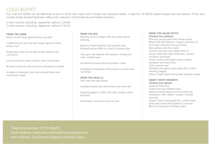## COLD BUFFET

Our cold fork buffet can be delivered as two or three main items and includes two seasonal salads, a selection of freshly baked breads and one dessert. Prices also include freshly brewed fairtrade coffee and a selection of fairtrade tea and herbal infusions.

2 main courses (including vegetarian option) | £28.00 3 main courses (including vegetarian option) | £33.50

**FROM THE FARM** Hand carved honey glazed bacon, piccalilli

Traditional pork pie with free range egg and raised pastry crust

Pulled ham hock terrine with parsley shallots and cornichons

Lemon and garlic roast chicken, herb mayonnaise

Butchers board of cold meat pies and pastries, pickles

A platter of selected cured and cooked British and continental meats

**FROM THE SEA**

Poached salmon fingers with dill crème fraîche dressing

Glazed smoked haddock and spinach tarts Roasted salmon fillet on a bed of niçoise salad

Little gem leaf baskets with salmon, shrimp and crab, cocktail sauce

Smoked fish board with horseradish cream

Escabeche of mackerel with pickled cucumber and rye bread

**FROM THE FIELD (v)** Feta, leek and pea frittata

Cheddar cheese and caramelised red onion tart

Roasted peppers stuffed with feta, tomato, olives and basil

Broad bean, pea shoot and mint tart

#### **FROM THE SALAD PATCH (Choose two options)**

Pine nut, penne pasta and tomato salad Mixed leaf with balsamic vinegar and olive oil Rice salad with pine nuts and herbs New potato and chive salad Tomato and red onion salad, herb oil Caesar salad with salty anchovies, crunchy croutons, parmesan Classic niçoise with green beans, potato, tomatoes and black olive Asian sesame slaw Chickpea and green bean salad with a tahini dressing (vegan) Classic Greek salad with toasted pumpkin seeds

#### **SWEET TOOTH DESSERTS**

**(Choose one option)** Seasonal fresh fruit Treacle tart and clotted cream Salted caramel peanut and chocolate tart Strawberry trifle, saffron custard, crushed amoretti Glazed French style apple flan, vanilla cream

Zesty lemon tart with raspberry compote Berry fruit pavlova, Chantilly cream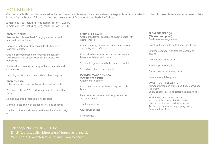## HOT BUFFET

Our hot fork buffet can be delivered as two or three main items and includes a starch, a vegetable option, a selection of freshly baked breads and one dessert. Prices include freshly brewed fairtrade coffee and a selection of fairtrade tea and herbal infusions.

2 main courses (including vegetarian option) | £28.00 3 main courses (including vegetarian option) | £33.60

**FROM THE FARM** Slow cooked blade of beef Bourguignon served with horseradish dumplings

Lancashire hotpot of slow cooked lamb shoulder, rosemary potatoes

Chicken, smoked bacon, mushrooms and leek pie Slow cooked shin of beef cobbler in local ale with dumplings

South Indian style chicken curry with coconut milk and curry leaves

Lamb tagine with raisins, almonds and black pepper

**FROM THE SEA** Fisherman's pie topped with crunchy cheddar mash

Pan seared fillet of MSC cod with a caper lemon butter sauce

Salmon and crab fishcakes, dill hollandaise

Marsala spiced cod with pickled carrots and coconut

Smoked haddock and salmon kedgeree, hens' egg, curry oil

**FROM THE FIELD (v)** Gratin of butternut squash and sweet potato with goats' cheese

Potato gnocchi, sautéed woodland mushrooms and leeks, with truffle oil

Char grilled courgette, pepper and aubergine lasagne with basil and ricotta

Seasonal vegetable and butterbean cassoulet

Spinach and blue cheese quiche

**POTATO, PASTA AND RICE (Choose one option)** Creamy mash potato

Roast new potatoes with rosemary and garlic butter

New potatoes buttered with snipped chives or simply steamed

Truffled macaroni cheese

Cauliflower cheese

Steamed rice

**FROM THE FIELD (v) (Choose one option)** Fresh seasonal vegetables

Roast root vegetables with honey and thyme

Sautéed cabbage, with smoked bacon and onions

Celeriac and truffle gratin

Sautéed peas Françoise

Glazed carrots in caraway butter

Seasonal vegetable gratin

#### **SWEET TOOTH DESSERTS**

Kumquat bread and butter pudding, marmalade ice cream Sticky banana, date and toffee pudding, toffee sauce Black forest and cherry sundae Baked vanilla cheesecake with berries Cherry crumble tart, vanilla ice cream Triple chocolate mousse, popping candy Seasonal fresh fruit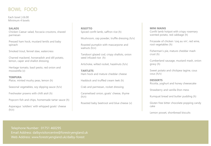## BOWL FOOD

Each bowl | £6.00 Minimum 4 bowls

#### **SALADS**

Chicken Caesar salad, foccacia croutons, shaved parmesan

Pressed ham hock, mustard lentils and baby spinach

Smoked trout, fennel slaw, watercress

Charred mackerel, horseradish and dill potato, lemon, caper and shallot dressing

Heritage tomato, basil pesto, red onion and mozzarella (v)

## **TEMPURA**

Plaice, minted mushy peas, lemon (h)

Seasonal vegetables, soy dipping sauce (h/v)

Freshwater prawns with chilli aioli (h)

Popcorn fish and chips, homemade tartar sauce (h)

Asparagus 'soldiers' with whipped goats' cheese  $(h/v)$ 

### **RISOTTO** Spiced confit lamb, saffron rice (h)

Mushroom, cep powder, truffle dressing (h/v)

Roasted pumpkin with mascarpone and walnuts (h/v)

Tandoori glazed cod, crispy shallots, onion seed infused rice (h)

Artichoke, wilted rocket, hazelnuts (h/v)

**TARTLETS** Ham hock and mature cheddar cheese

Haddock and truffled cream leek (h)

Crab and parmesan, rocket dressing

Caramelised onion, goats' cheese, thyme  $(h/v)$ 

Roasted baby beetroot and blue cheese (v)

#### **MINI MAINS**

Confit lamb hotpot with crispy rosemary scented potato, red cabbage (h)

Fricassée of chicken 'coq au vin', red wine, root vegetables (h)

Fisherman's pie, mature cheddar mash crust (h)

Cumberland sausage, mustard mash, onion gravy (h)

Sweet potato and chickpea tagine, cous cous (h/v)

### **DESSERTS**

Ricotta, yoghurt and honey cheesecake

Strawberry and vanilla Eton mess

Kumquat bread and butter pudding (h)

Gluten free bitter chocolate popping candy cake

Lemon posset, shortbread biscuits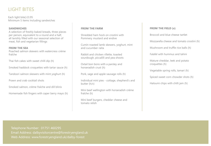## LIGHT BITES

Each light bite| £3.95 Minimum 5 items Including sandwiches

### **SANDWICHES**

A selection of freshly baked breads, three pieces per person, equivalent to a round and a half, all lavishly filled with our seasonal selection of meat, fish and vegetarian fillings

#### **FROM THE SEA**

Poached salmon skewers with watercress crème fraîche

Thai fish cakes with sweet chilli dip (h)

Smoked haddock croquettes with tartar sauce (h)

Tandoori salmon skewers with mint yoghurt (h)

Prawn and crab cocktail shots

Smoked salmon, crème fraîche and dill blinis

Homemade fish fingers with caper berry mayo (h)

#### **FROM THE FARM**

Shredded ham hock on crostini with Pommery mustard and endive

Cumin roasted lamb skewers, yoghurt, mint and cucumber raita

Rabbit and chicken rillette, toasted sourdough, piccalilli and pea shoots

Oxtail bon bons with a parsley and horseradish crust (h)

Pork, sage and apple sausage rolls (h)

Individual mini pies - cottage, shepherd's and butter (h/v)

Mini beef wellington with horseradish crème fraîche (h)

Mini beef burgers, cheddar cheese and tomato relish

#### **FROM THE FIELD (v)**

Broccoli and blue cheese tartlet

Mozzarella cheese and tomato crostini (h)

Mushroom and truffle rice balls (h)

Falafel with hummus and tahini

Mature cheddar, leek and potato croquettes (h)

Vegetable spring rolls, tamari (h)

Spiced sweet corn chowder shots (h)

Haloumi chips with chilli jam (h)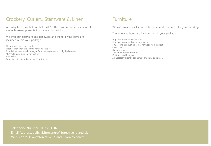## Crockery, Cutlery, Stemware & Linen

At Dalby Forest we believe that 'taste' is the most important element of a menu, however presentation plays a big part too.

We own our glassware and tableware and the following items are included within your package:

Floor-length linen tablecloths Floor-length linen tablecloths for all bar tables Mondial glassware – champagne flutes, wine glasses and highball glasses 18/10 stainless steel Infinity cutlery White china Trays, jugs, ice buckets and ice for drinks service

## **Furniture**

We will provide a selection of furniture and equipment for your wedding.

The following items are included within your package:

High top trestle tables for bars High top trestle tables for cloakroom 5ft6" round banqueting tables for wedding breakfast Cake table Banquet chairs Table numbers and stands Coat rails and hangers All necessary kitchen equipment and light equipment